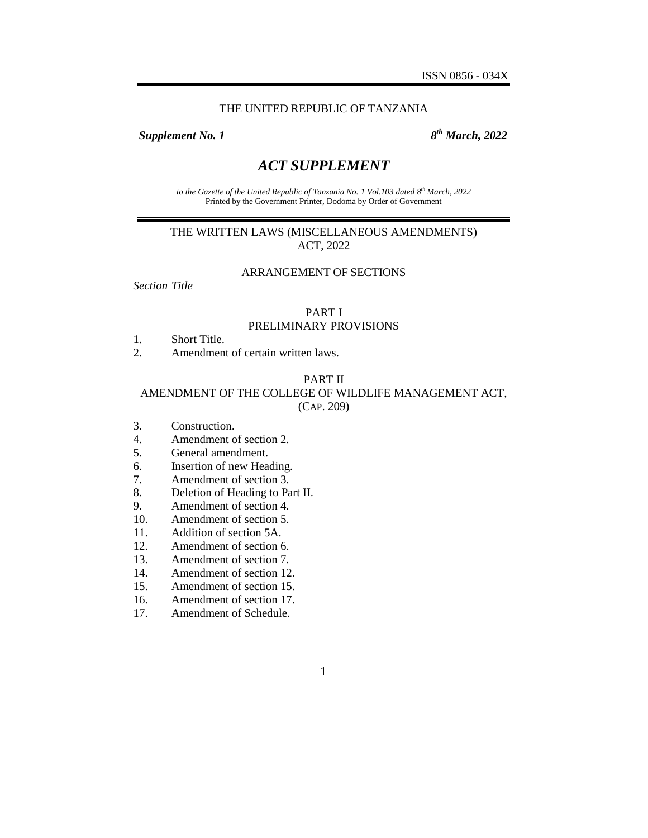#### THE UNITED REPUBLIC OF TANZANIA

**Supplement No. 1** 

*th March, 2022*

# *ACT SUPPLEMENT*

*to the Gazette of the United Republic of Tanzania No. 1 Vol.103 dated 8 th March, 2022* Printed by the Government Printer, Dodoma by Order of Government

## THE WRITTEN LAWS (MISCELLANEOUS AMENDMENTS) ACT, 2022

#### ARRANGEMENT OF SECTIONS

*Section Title*

#### PART I PRELIMINARY PROVISIONS

- 1. Short Title.
- 2. Amendment of certain written laws.

#### PART II

## AMENDMENT OF THE COLLEGE OF WILDLIFE MANAGEMENT ACT, (CAP. 209)

- 3. Construction.
- 4. Amendment of section 2.
- 5. General amendment.
- 6. Insertion of new Heading.
- 7. Amendment of section 3.
- 8. Deletion of Heading to Part II.
- 9. Amendment of section 4.
- 10. Amendment of section 5.
- 11. Addition of section 5A.
- 12. Amendment of section 6.
- 13. Amendment of section 7.
- 14. Amendment of section 12.
- 15. Amendment of section 15.
- 16. Amendment of section 17.
- 17. Amendment of Schedule.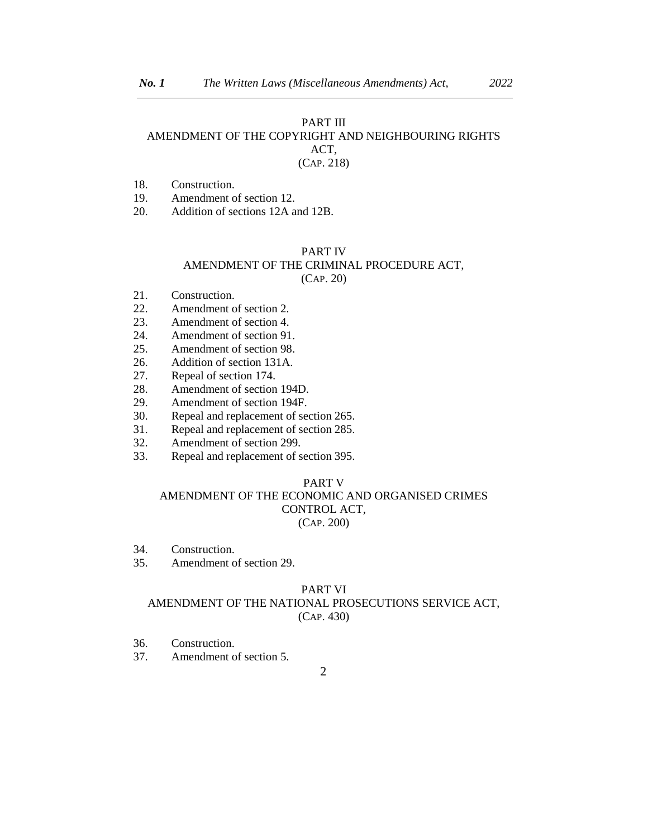#### PART III

## AMENDMENT OF THE COPYRIGHT AND NEIGHBOURING RIGHTS ACT,

### (CAP. 218)

18. Construction.

19. Amendment of section 12.

20. Addition of sections 12A and 12B.

### PART IV

### AMENDMENT OF THE CRIMINAL PROCEDURE ACT,

(CAP. 20)

- 21. Construction.
- 22. Amendment of section 2.
- 23. Amendment of section 4.
- 24. Amendment of section 91.
- 25. Amendment of section 98.
- 26. Addition of section 131A.
- 27. Repeal of section 174.
- 28. Amendment of section 194D.
- 29. Amendment of section 194F.
- 30. Repeal and replacement of section 265.
- 31. Repeal and replacement of section 285.
- 32. Amendment of section 299.
- 33. Repeal and replacement of section 395.

#### PART V

## AMENDMENT OF THE ECONOMIC AND ORGANISED CRIMES CONTROL ACT, (CAP. 200)

- 34. Construction.
- 35. Amendment of section 29.

#### PART VI

## AMENDMENT OF THE NATIONAL PROSECUTIONS SERVICE ACT, (CAP. 430)

- 36. Construction.
- 37. Amendment of section 5.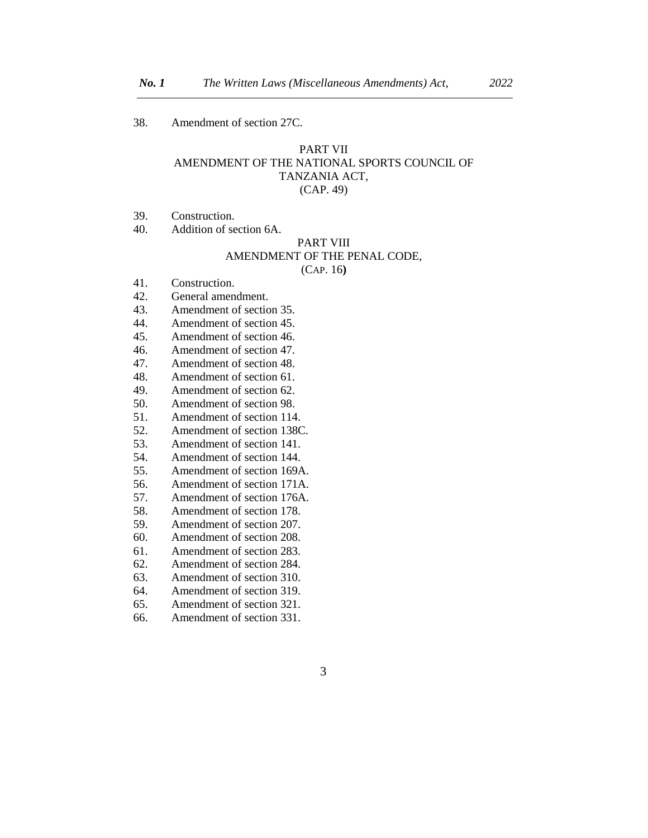38. Amendment of section 27C.

### PART VII AMENDMENT OF THE NATIONAL SPORTS COUNCIL OF TANZANIA ACT, (CAP. 49)

39. Construction.

40. Addition of section 6A.

#### PART VIII AMENDMENT OF THE PENAL CODE, (CAP. 16**)**

- 41. Construction.
- 42. General amendment.
- 43. Amendment of section 35.
- 44. Amendment of section 45.
- 45. Amendment of section 46.
- 46. Amendment of section 47.
- 47. Amendment of section 48.
- 48. Amendment of section 61.
- 49. Amendment of section 62.
- 50. Amendment of section 98.
- 51. Amendment of section 114.
- 52. Amendment of section 138C.
- 53. Amendment of section 141.
- 54. Amendment of section 144.
- 55. Amendment of section 169A.
- 56. Amendment of section 171A.
- 57. Amendment of section 176A.
- 58. Amendment of section 178.
- 59. Amendment of section 207.
- 60. Amendment of section 208.
- 61. Amendment of section 283.
- 62. Amendment of section 284.
- 63. Amendment of section 310.
- 64. Amendment of section 319.
- 65. Amendment of section 321.
- 66. Amendment of section 331.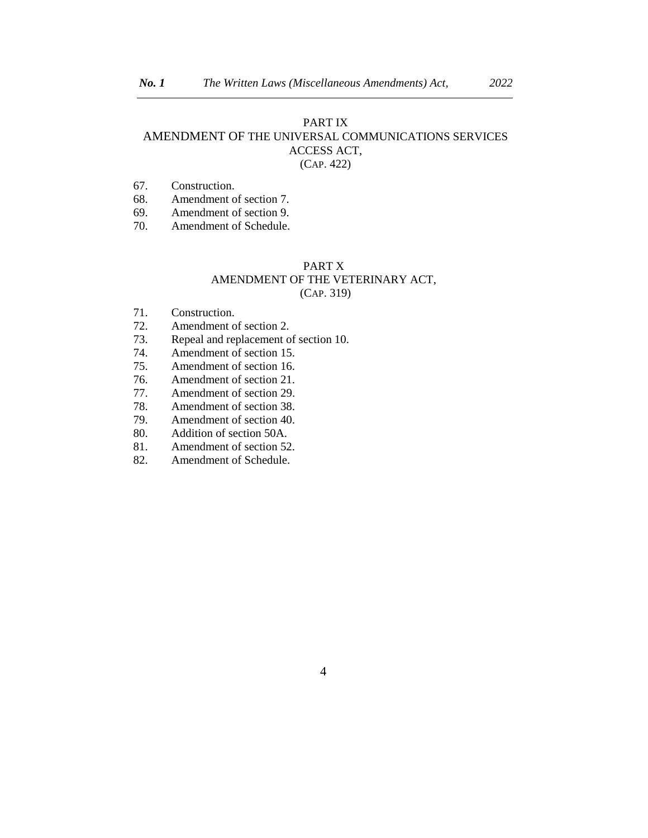## PART IX AMENDMENT OF THE UNIVERSAL COMMUNICATIONS SERVICES ACCESS ACT, (CAP. 422)

- 67. Construction.
- 68. Amendment of section 7.
- 69. Amendment of section 9.
- 70. Amendment of Schedule.

### PART X AMENDMENT OF THE VETERINARY ACT, (CAP. 319)

- 71. Construction.
- 72. Amendment of section 2.
- 73. Repeal and replacement of section 10.
- 74. Amendment of section 15.
- 75. Amendment of section 16.<br>76. Amendment of section 21.
- Amendment of section 21.
- 77. Amendment of section 29.
- 78. Amendment of section 38.
- 79. Amendment of section 40.
- 80. Addition of section 50A.
- 81. Amendment of section 52.
- 82. Amendment of Schedule.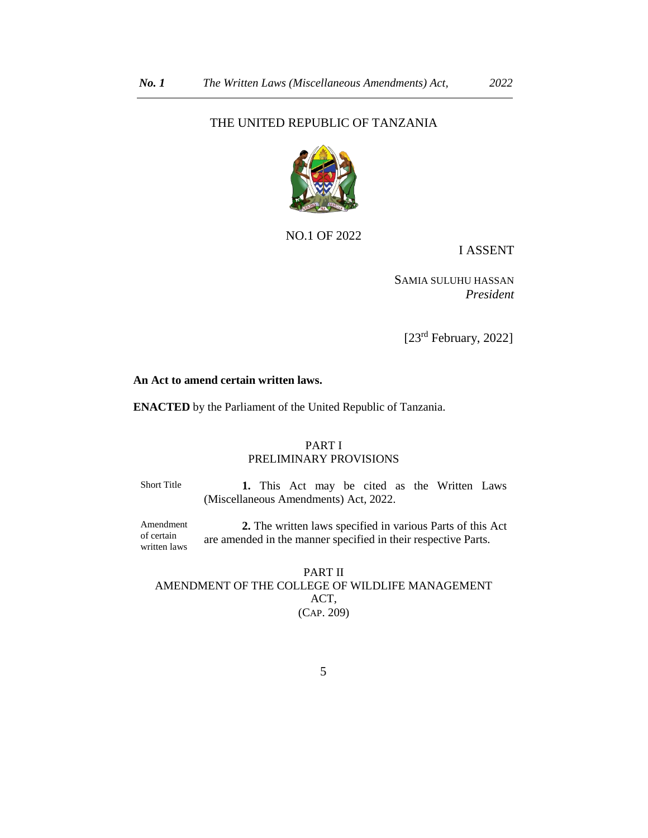## THE UNITED REPUBLIC OF TANZANIA



NO.1 OF 2022

I ASSENT

SAMIA SULUHU HASSAN *President*

[23<sup>rd</sup> February, 2022]

#### **An Act to amend certain written laws.**

**ENACTED** by the Parliament of the United Republic of Tanzania.

#### PART I PRELIMINARY PROVISIONS

Short Title **1.** This Act may be cited as the Written Laws (Miscellaneous Amendments) Act, 2022.

Amendment of certain written laws **2.** The written laws specified in various Parts of this Act are amended in the manner specified in their respective Parts.

PART II AMENDMENT OF THE COLLEGE OF WILDLIFE MANAGEMENT ACT, (CAP. 209)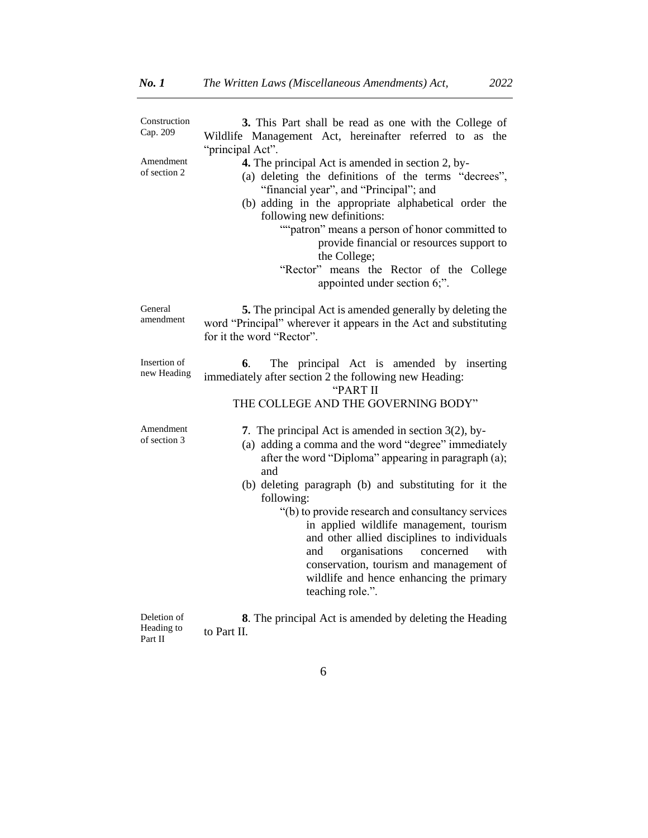| Construction<br>Cap. 209    | 3. This Part shall be read as one with the College of<br>Wildlife Management Act, hereinafter referred to as the<br>"principal Act".                                                                                                                                                                                                                                                                                                                                                                                                                          |
|-----------------------------|---------------------------------------------------------------------------------------------------------------------------------------------------------------------------------------------------------------------------------------------------------------------------------------------------------------------------------------------------------------------------------------------------------------------------------------------------------------------------------------------------------------------------------------------------------------|
| Amendment<br>of section 2   | 4. The principal Act is amended in section 2, by-<br>(a) deleting the definitions of the terms "decrees",<br>"financial year", and "Principal"; and<br>(b) adding in the appropriate alphabetical order the<br>following new definitions:<br>""patron" means a person of honor committed to<br>provide financial or resources support to<br>the College;<br>"Rector" means the Rector of the College<br>appointed under section 6;".                                                                                                                          |
| General<br>amendment        | <b>5.</b> The principal Act is amended generally by deleting the<br>word "Principal" wherever it appears in the Act and substituting<br>for it the word "Rector".                                                                                                                                                                                                                                                                                                                                                                                             |
| Insertion of<br>new Heading | The principal Act is amended by inserting<br>6.<br>immediately after section 2 the following new Heading:<br>"PART II<br>THE COLLEGE AND THE GOVERNING BODY"                                                                                                                                                                                                                                                                                                                                                                                                  |
| Amendment<br>of section 3   | 7. The principal Act is amended in section $3(2)$ , by-<br>(a) adding a comma and the word "degree" immediately<br>after the word "Diploma" appearing in paragraph (a);<br>and<br>(b) deleting paragraph (b) and substituting for it the<br>following:<br>"(b) to provide research and consultancy services<br>in applied wildlife management, tourism<br>and other allied disciplines to individuals<br>organisations<br>concerned<br>with<br>and<br>conservation, tourism and management of<br>wildlife and hence enhancing the primary<br>teaching role.". |
|                             |                                                                                                                                                                                                                                                                                                                                                                                                                                                                                                                                                               |

Deletion of Heading to Part II **8**. The principal Act is amended by deleting the Heading to Part II.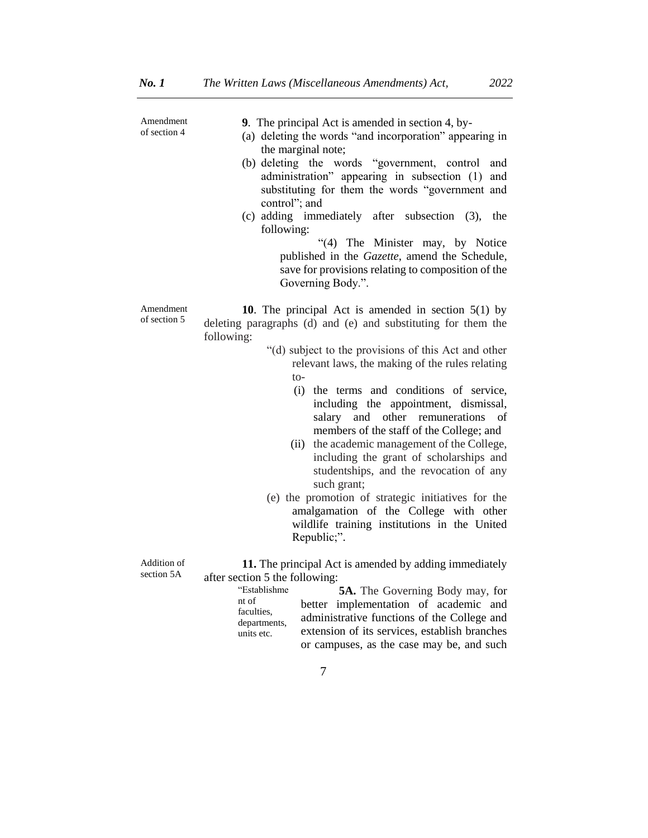| Amendment<br>of section 4 | <b>9.</b> The principal Act is amended in section 4, by-<br>(a) deleting the words "and incorporation" appearing in<br>the marginal note;<br>(b) deleting the words "government, control<br>and<br>administration" appearing in subsection (1) and<br>substituting for them the words "government and<br>control"; and<br>(c) adding immediately after subsection (3),<br>the<br>following:<br>"(4) The Minister may, by Notice<br>published in the Gazette, amend the Schedule,<br>save for provisions relating to composition of the<br>Governing Body.".                                                                                                                                                                                                            |
|---------------------------|------------------------------------------------------------------------------------------------------------------------------------------------------------------------------------------------------------------------------------------------------------------------------------------------------------------------------------------------------------------------------------------------------------------------------------------------------------------------------------------------------------------------------------------------------------------------------------------------------------------------------------------------------------------------------------------------------------------------------------------------------------------------|
| Amendment<br>of section 5 | <b>10.</b> The principal Act is amended in section $5(1)$ by<br>deleting paragraphs (d) and (e) and substituting for them the<br>following:<br>"(d) subject to the provisions of this Act and other<br>relevant laws, the making of the rules relating<br>to-<br>the terms and conditions of service,<br>(i)<br>including the appointment, dismissal,<br>other<br>remunerations<br>salary<br>and<br>of<br>members of the staff of the College; and<br>(ii) the academic management of the College,<br>including the grant of scholarships and<br>studentships, and the revocation of any<br>such grant;<br>(e) the promotion of strategic initiatives for the<br>amalgamation of the College with other<br>wildlife training institutions in the United<br>Republic;". |
| Addition of<br>section 5A | 11. The principal Act is amended by adding immediately<br>after section 5 the following:<br>"Establishme<br><b>5A.</b> The Governing Body may, for<br>nt of<br>better implementation of academic and<br>faculties,<br>administrative functions of the College and<br>departments,<br>extension of its services, establish branches<br>units etc.<br>or campuses, as the case may be, and such                                                                                                                                                                                                                                                                                                                                                                          |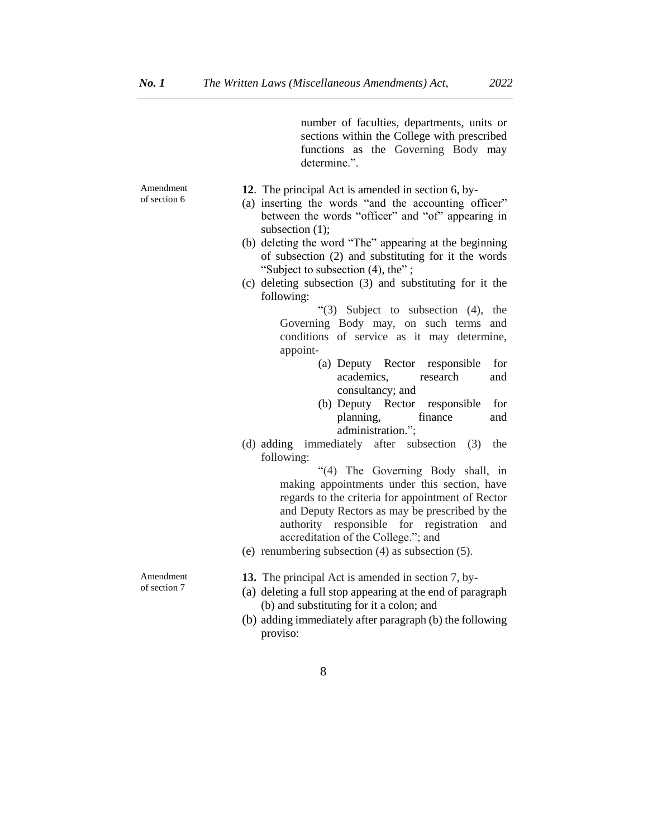Amendment of section 6

**12**. The principal Act is amended in section 6, by-

determine.".

(a) inserting the words "and the accounting officer" between the words "officer" and "of" appearing in subsection  $(1)$ ;

number of faculties, departments, units or sections within the College with prescribed functions as the Governing Body may

- (b) deleting the word "The" appearing at the beginning of subsection (2) and substituting for it the words "Subject to subsection (4), the" ;
- (c) deleting subsection (3) and substituting for it the following:

"(3) Subject to subsection (4), the Governing Body may, on such terms and conditions of service as it may determine, appoint-

- (a) Deputy Rector responsible for academics, research and consultancy; and
- (b) Deputy Rector responsible for planning, finance and administration.";
- (d) adding immediately after subsection (3) the following:

"(4) The Governing Body shall, in making appointments under this section, have regards to the criteria for appointment of Rector and Deputy Rectors as may be prescribed by the authority responsible for registration and accreditation of the College."; and

(e) renumbering subsection (4) as subsection (5).

**13.** The principal Act is amended in section 7, by-

- (a) deleting a full stop appearing at the end of paragraph (b) and substituting for it a colon; and
- (b) adding immediately after paragraph (b) the following proviso:
	- 8

Amendment of section 7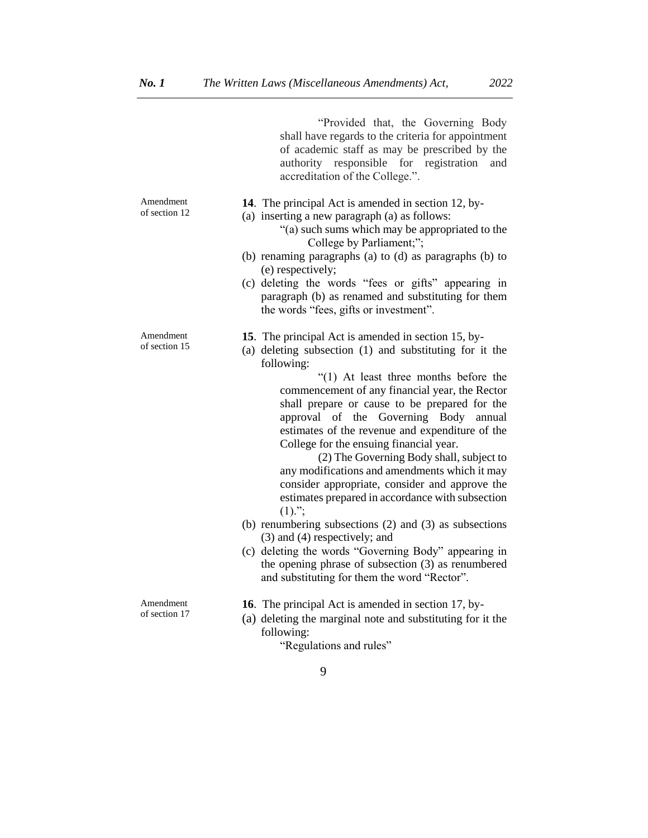|                            | "Provided that, the Governing Body<br>shall have regards to the criteria for appointment<br>of academic staff as may be prescribed by the<br>authority responsible for registration<br>and<br>accreditation of the College.".                                                                                                                                                                                                                                                                                                                                                                                                                                                                                                                                                                                                                                                                    |
|----------------------------|--------------------------------------------------------------------------------------------------------------------------------------------------------------------------------------------------------------------------------------------------------------------------------------------------------------------------------------------------------------------------------------------------------------------------------------------------------------------------------------------------------------------------------------------------------------------------------------------------------------------------------------------------------------------------------------------------------------------------------------------------------------------------------------------------------------------------------------------------------------------------------------------------|
| Amendment<br>of section 12 | 14. The principal Act is amended in section 12, by-<br>(a) inserting a new paragraph (a) as follows:<br>"(a) such sums which may be appropriated to the<br>College by Parliament;";<br>(b) renaming paragraphs (a) to (d) as paragraphs (b) to<br>(e) respectively;<br>(c) deleting the words "fees or gifts" appearing in<br>paragraph (b) as renamed and substituting for them<br>the words "fees, gifts or investment".                                                                                                                                                                                                                                                                                                                                                                                                                                                                       |
| Amendment<br>of section 15 | 15. The principal Act is amended in section 15, by-<br>(a) deleting subsection (1) and substituting for it the<br>following:<br>"(1) At least three months before the<br>commencement of any financial year, the Rector<br>shall prepare or cause to be prepared for the<br>approval of the Governing Body annual<br>estimates of the revenue and expenditure of the<br>College for the ensuing financial year.<br>(2) The Governing Body shall, subject to<br>any modifications and amendments which it may<br>consider appropriate, consider and approve the<br>estimates prepared in accordance with subsection<br>$(1)$ .";<br>(b) renumbering subsections $(2)$ and $(3)$ as subsections<br>$(3)$ and $(4)$ respectively; and<br>(c) deleting the words "Governing Body" appearing in<br>the opening phrase of subsection (3) as renumbered<br>and substituting for them the word "Rector". |
| Amendment<br>of section 17 | <b>16.</b> The principal Act is amended in section 17, by-<br>(a) deleting the monoical note and appointment for it the                                                                                                                                                                                                                                                                                                                                                                                                                                                                                                                                                                                                                                                                                                                                                                          |

(a) deleting the marginal note and substituting for it the following:

"Regulations and rules"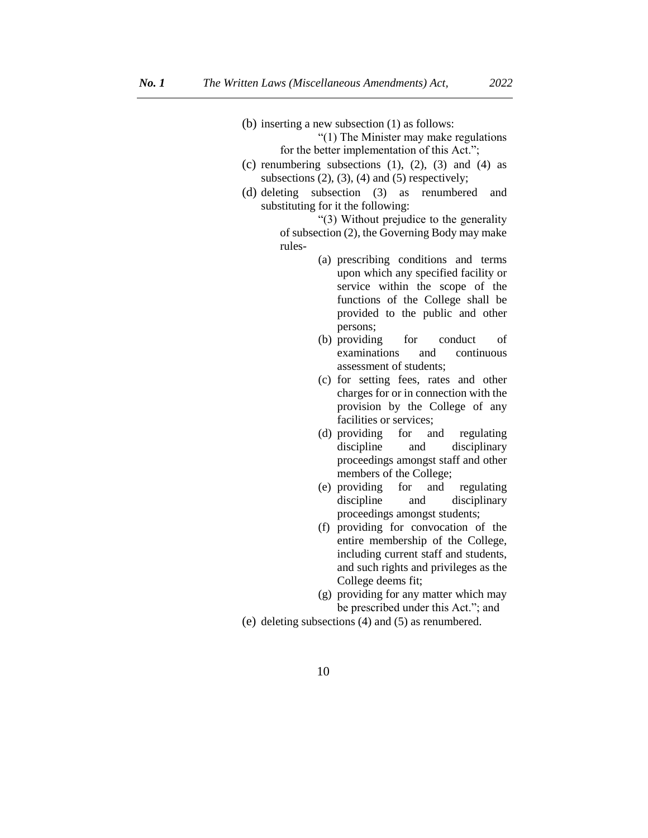(b) inserting a new subsection (1) as follows:

"(1) The Minister may make regulations for the better implementation of this Act.";

- (c) renumbering subsections  $(1)$ ,  $(2)$ ,  $(3)$  and  $(4)$  as subsections  $(2)$ ,  $(3)$ ,  $(4)$  and  $(5)$  respectively;
- (d) deleting subsection (3) as renumbered and substituting for it the following:

"(3) Without prejudice to the generality of subsection (2), the Governing Body may make rules-

- (a) prescribing conditions and terms upon which any specified facility or service within the scope of the functions of the College shall be provided to the public and other persons;
- (b) providing for conduct of examinations and continuous assessment of students;
- (c) for setting fees, rates and other charges for or in connection with the provision by the College of any facilities or services;
- (d) providing for and regulating discipline and disciplinary proceedings amongst staff and other members of the College;
- (e) providing for and regulating discipline and disciplinary proceedings amongst students;
- (f) providing for convocation of the entire membership of the College, including current staff and students, and such rights and privileges as the College deems fit;
- (g) providing for any matter which may be prescribed under this Act."; and
- (e) deleting subsections (4) and (5) as renumbered.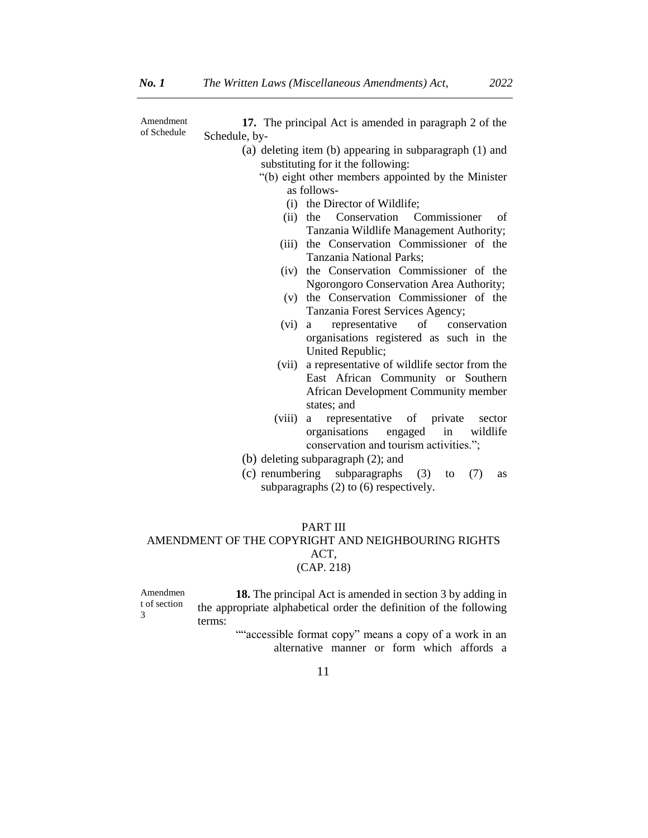Amendment of Schedule

**17.** The principal Act is amended in paragraph 2 of the Schedule, by-

- (a) deleting item (b) appearing in subparagraph (1) and substituting for it the following:
	- "(b) eight other members appointed by the Minister as follows-
		- (i) the Director of Wildlife;
		- (ii) the Conservation Commissioner of Tanzania Wildlife Management Authority;
		- (iii) the Conservation Commissioner of the Tanzania National Parks;
		- (iv) the Conservation Commissioner of the Ngorongoro Conservation Area Authority;
		- (v) the Conservation Commissioner of the Tanzania Forest Services Agency;
		- (vi) a representative of conservation organisations registered as such in the United Republic;
		- (vii) a representative of wildlife sector from the East African Community or Southern African Development Community member states; and
		- (viii) a representative of private sector organisations engaged in wildlife conservation and tourism activities.";
- (b) deleting subparagraph (2); and
- (c) renumbering subparagraphs (3) to (7) as subparagraphs (2) to (6) respectively.

## PART III AMENDMENT OF THE COPYRIGHT AND NEIGHBOURING RIGHTS ACT, (CAP. 218)

Amendmen t of section 3 **18.** The principal Act is amended in section 3 by adding in the appropriate alphabetical order the definition of the following terms:

> ""accessible format copy" means a copy of a work in an alternative manner or form which affords a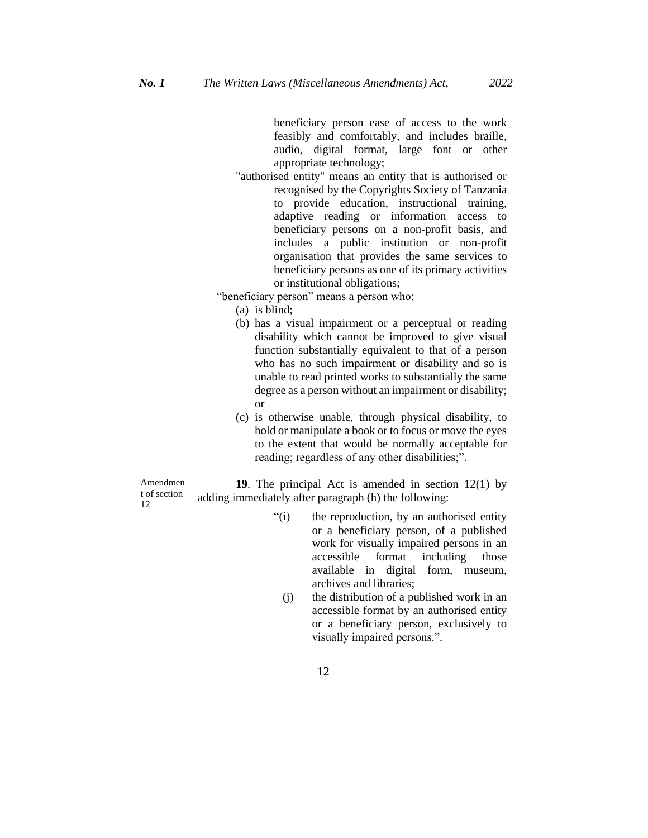beneficiary person ease of access to the work feasibly and comfortably, and includes braille, audio, digital format, large font or other appropriate technology;

"authorised entity" means an entity that is authorised or recognised by the Copyrights Society of Tanzania to provide education, instructional training, adaptive reading or information access to beneficiary persons on a non-profit basis, and includes a public institution or non-profit organisation that provides the same services to beneficiary persons as one of its primary activities or institutional obligations;

"beneficiary person" means a person who:

(a) is blind;

- (b) has a visual impairment or a perceptual or reading disability which cannot be improved to give visual function substantially equivalent to that of a person who has no such impairment or disability and so is unable to read printed works to substantially the same degree as a person without an impairment or disability; or
- (c) is otherwise unable, through physical disability, to hold or manipulate a book or to focus or move the eyes to the extent that would be normally acceptable for reading; regardless of any other disabilities;".

Amendmen t of section 12

**19**. The principal Act is amended in section 12(1) by adding immediately after paragraph (h) the following:

- "(i) the reproduction, by an authorised entity or a beneficiary person, of a published work for visually impaired persons in an accessible format including those available in digital form, museum, archives and libraries;
	- (j) the distribution of a published work in an accessible format by an authorised entity or a beneficiary person, exclusively to visually impaired persons.".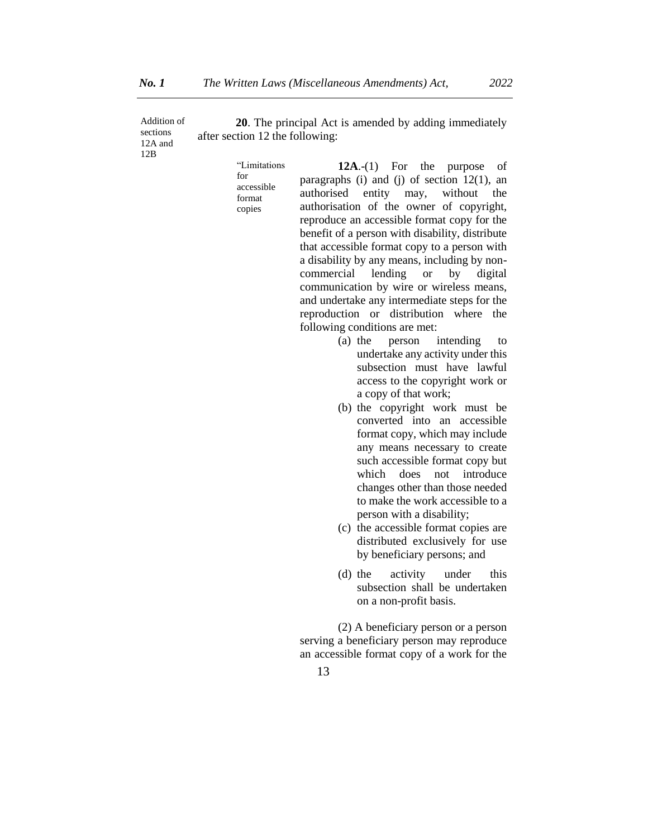Addition of sections 12A and **20**. The principal Act is amended by adding immediately after section 12 the following:

> "Limitations for accessible format copies

12B

**12A**.-(1) For the purpose of paragraphs (i) and (j) of section 12(1), an authorised entity may, without the authorisation of the owner of copyright, reproduce an accessible format copy for the benefit of a person with disability, distribute that accessible format copy to a person with a disability by any means, including by noncommercial lending or by digital communication by wire or wireless means, and undertake any intermediate steps for the reproduction or distribution where the following conditions are met:

- (a) the person intending to undertake any activity under this subsection must have lawful access to the copyright work or a copy of that work;
- (b) the copyright work must be converted into an accessible format copy, which may include any means necessary to create such accessible format copy but which does not introduce changes other than those needed to make the work accessible to a person with a disability;
- (c) the accessible format copies are distributed exclusively for use by beneficiary persons; and
- (d) the activity under this subsection shall be undertaken on a non-profit basis.

(2) A beneficiary person or a person serving a beneficiary person may reproduce an accessible format copy of a work for the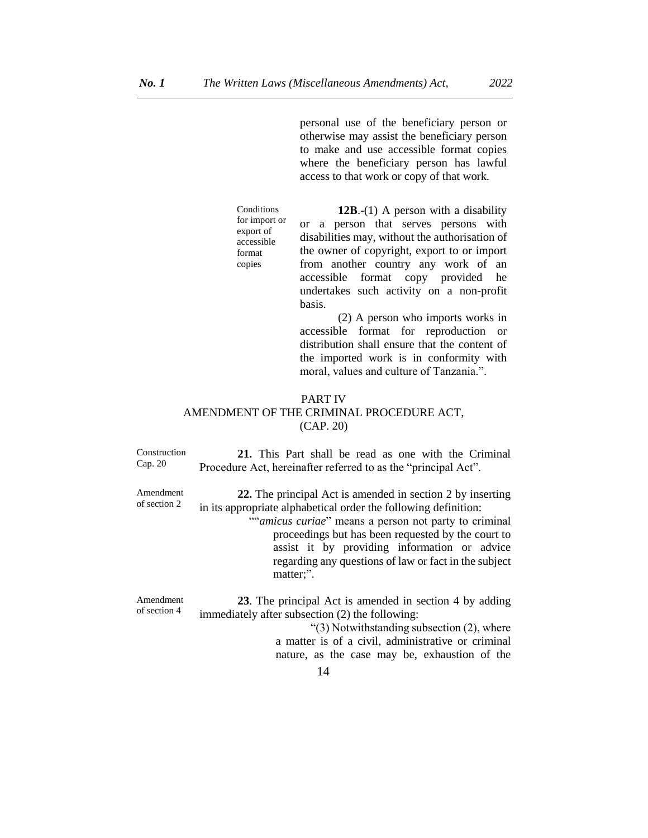personal use of the beneficiary person or otherwise may assist the beneficiary person to make and use accessible format copies where the beneficiary person has lawful access to that work or copy of that work.

**Conditions** for import or export of accessible format copies

**12B**.-(1) A person with a disability or a person that serves persons with disabilities may, without the authorisation of the owner of copyright, export to or import from another country any work of an accessible format copy provided he undertakes such activity on a non-profit basis.

(2) A person who imports works in accessible format for reproduction or distribution shall ensure that the content of the imported work is in conformity with moral, values and culture of Tanzania.".

### PART IV AMENDMENT OF THE CRIMINAL PROCEDURE ACT, (CAP. 20)

Construction Cap. 20 **21.** This Part shall be read as one with the Criminal Procedure Act, hereinafter referred to as the "principal Act". Amendment of section 2 **22.** The principal Act is amended in section 2 by inserting in its appropriate alphabetical order the following definition: ""*amicus curiae*" means a person not party to criminal proceedings but has been requested by the court to assist it by providing information or advice regarding any questions of law or fact in the subject matter;". Amendment of section 4 **23**. The principal Act is amended in section 4 by adding immediately after subsection (2) the following: "(3) Notwithstanding subsection (2), where a matter is of a civil, administrative or criminal nature, as the case may be, exhaustion of the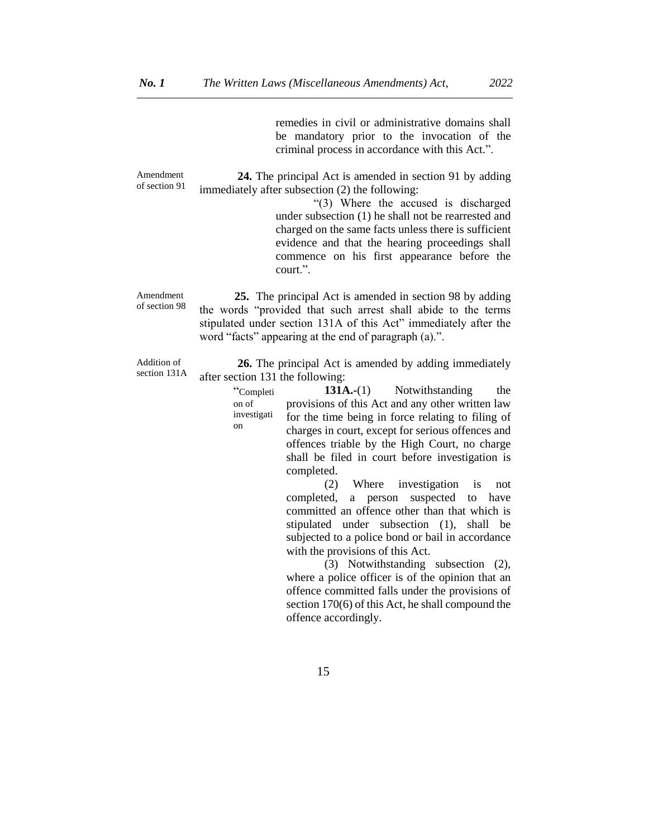remedies in civil or administrative domains shall be mandatory prior to the invocation of the criminal process in accordance with this Act.".

Amendment of section 91 **24.** The principal Act is amended in section 91 by adding immediately after subsection (2) the following:

> "(3) Where the accused is discharged under subsection (1) he shall not be rearrested and charged on the same facts unless there is sufficient evidence and that the hearing proceedings shall commence on his first appearance before the court.".

Amendment of section 98  **25.** The principal Act is amended in section 98 by adding the words "provided that such arrest shall abide to the terms stipulated under section 131A of this Act" immediately after the word "facts" appearing at the end of paragraph (a).".

Addition of section 131A

on

**26.** The principal Act is amended by adding immediately after section 131 the following:

> "Completi on of investigati **131A.-(1)** Notwithstanding the provisions of this Act and any other written law for the time being in force relating to filing of charges in court, except for serious offences and offences triable by the High Court, no charge shall be filed in court before investigation is completed.

> > (2) Where investigation is not completed, a person suspected to have committed an offence other than that which is stipulated under subsection (1), shall be subjected to a police bond or bail in accordance with the provisions of this Act.

> > (3) Notwithstanding subsection (2), where a police officer is of the opinion that an offence committed falls under the provisions of section 170(6) of this Act, he shall compound the offence accordingly.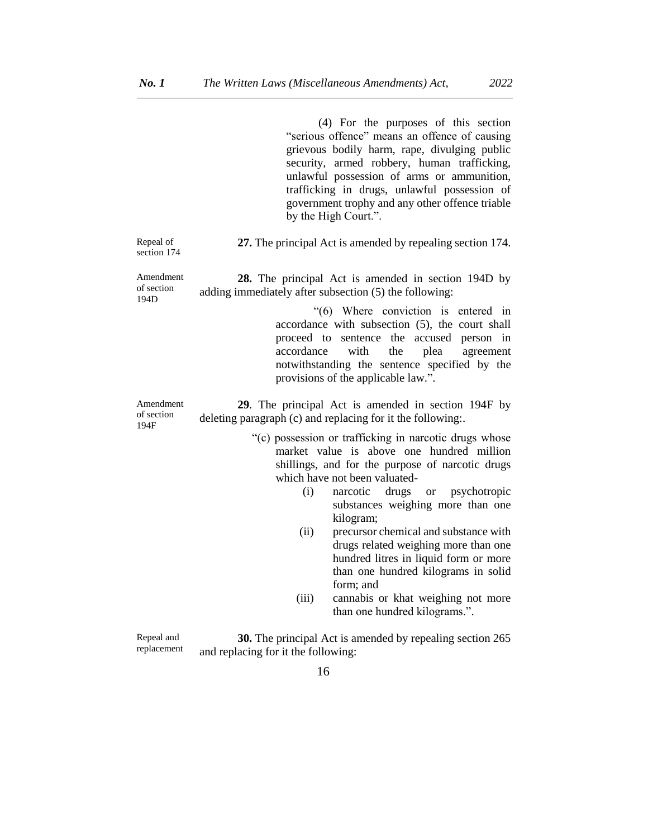|                                 | (4) For the purposes of this section<br>"serious offence" means an offence of causing<br>grievous bodily harm, rape, divulging public<br>security, armed robbery, human trafficking,<br>unlawful possession of arms or ammunition,<br>trafficking in drugs, unlawful possession of<br>government trophy and any other offence triable<br>by the High Court.". |
|---------------------------------|---------------------------------------------------------------------------------------------------------------------------------------------------------------------------------------------------------------------------------------------------------------------------------------------------------------------------------------------------------------|
| Repeal of<br>section 174        | 27. The principal Act is amended by repealing section 174.                                                                                                                                                                                                                                                                                                    |
| Amendment<br>of section<br>194D | 28. The principal Act is amended in section 194D by<br>adding immediately after subsection (5) the following:<br>"(6) Where conviction is entered in<br>accordance with subsection (5), the court shall                                                                                                                                                       |
|                                 | proceed to sentence the accused person in<br>accordance<br>with<br>the<br>plea<br>agreement<br>notwithstanding the sentence specified by the<br>provisions of the applicable law.".                                                                                                                                                                           |
| Amendment<br>of section<br>194F | 29. The principal Act is amended in section 194F by<br>deleting paragraph (c) and replacing for it the following.                                                                                                                                                                                                                                             |
|                                 | "(c) possession or trafficking in narcotic drugs whose<br>market value is above one hundred million<br>shillings, and for the purpose of narcotic drugs<br>which have not been valuated-<br>(i)<br>narcotic<br>drugs<br><b>or</b><br>psychotropic<br>substances weighing more than one<br>kilogram;<br>precursor chemical and substance with<br>(ii)          |
|                                 | drugs related weighing more than one<br>hundred litres in liquid form or more<br>than one hundred kilograms in solid<br>form; and<br>cannabis or khat weighing not more<br>(iii)<br>than one hundred kilograms.".                                                                                                                                             |

Repeal and replacement **30.** The principal Act is amended by repealing section 265 and replacing for it the following: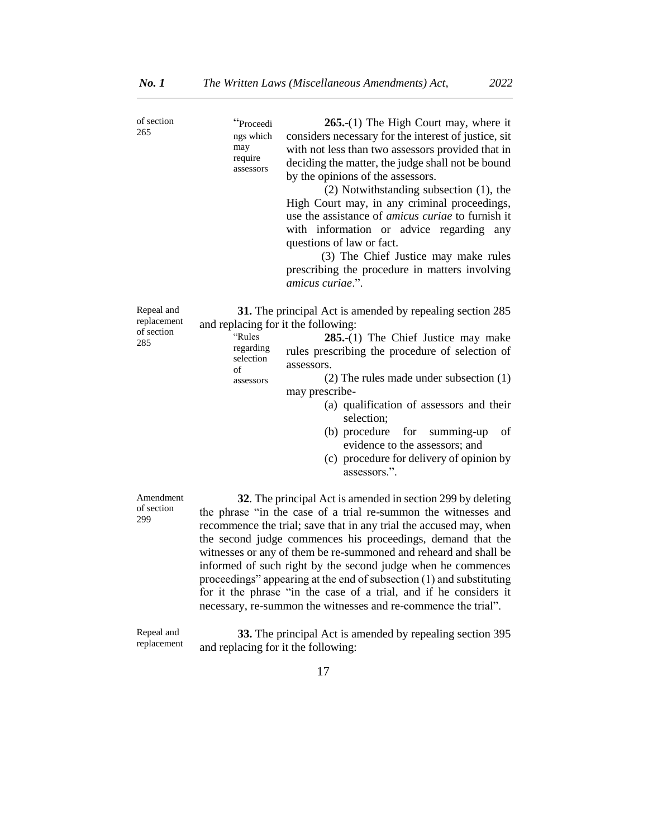| of section<br>265                              | "Proceedi<br>ngs which<br>may<br>require<br>assessors                                      | $265-(1)$ The High Court may, where it<br>considers necessary for the interest of justice, sit<br>with not less than two assessors provided that in<br>deciding the matter, the judge shall not be bound<br>by the opinions of the assessors.<br>(2) Notwithstanding subsection (1), the<br>High Court may, in any criminal proceedings,<br>use the assistance of <i>amicus curiae</i> to furnish it<br>with information or advice regarding<br>any<br>questions of law or fact.<br>(3) The Chief Justice may make rules<br>prescribing the procedure in matters involving<br>amicus curiae.". |
|------------------------------------------------|--------------------------------------------------------------------------------------------|------------------------------------------------------------------------------------------------------------------------------------------------------------------------------------------------------------------------------------------------------------------------------------------------------------------------------------------------------------------------------------------------------------------------------------------------------------------------------------------------------------------------------------------------------------------------------------------------|
| Repeal and<br>replacement<br>of section<br>285 | and replacing for it the following:<br>"Rules<br>regarding<br>selection<br>of<br>assessors | 31. The principal Act is amended by repealing section 285<br>$285-(1)$ The Chief Justice may make<br>rules prescribing the procedure of selection of<br>assessors.<br>$(2)$ The rules made under subsection $(1)$<br>may prescribe-<br>(a) qualification of assessors and their<br>selection;<br>(b) procedure for summing-up<br>of<br>evidence to the assessors; and<br>(c) procedure for delivery of opinion by<br>assessors.".                                                                                                                                                              |
| Amendment<br>of section<br>299                 |                                                                                            | 32. The principal Act is amended in section 299 by deleting<br>the phrase "in the case of a trial re-summon the witnesses and<br>recommence the trial; save that in any trial the accused may, when<br>the second judge commences his proceedings, demand that the<br>witnesses or any of them be re-summoned and reheard and shall be<br>informed of such right by the second judge when he commences<br>proceedings" appearing at the end of subsection (1) and substituting                                                                                                                 |

Repeal and replacement

**33.** The principal Act is amended by repealing section 395 and replacing for it the following:

for it the phrase "in the case of a trial, and if he considers it necessary, re-summon the witnesses and re-commence the trial".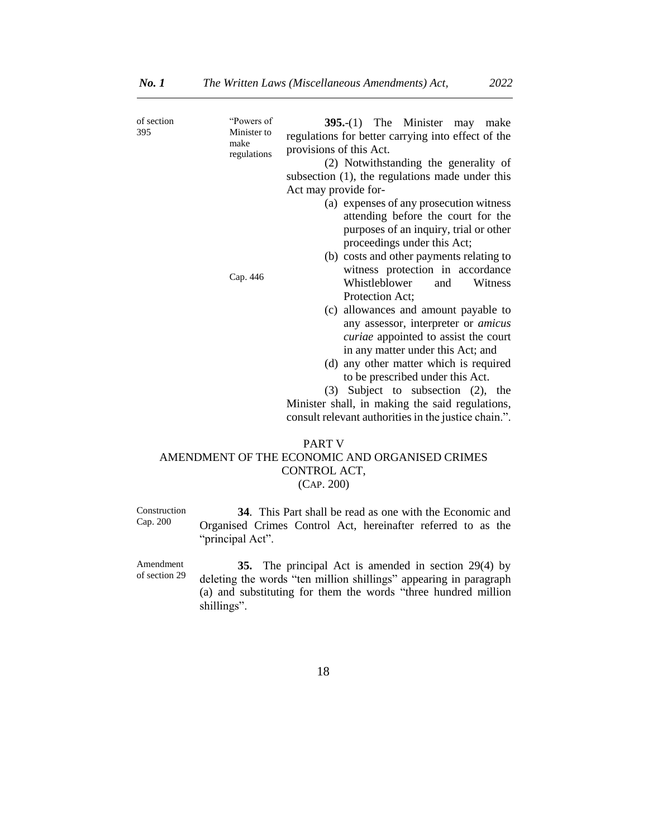| of section<br>395 | "Powers of<br>Minister to<br>make<br>regulations | $395-(1)$ The Minister may make<br>regulations for better carrying into effect of the<br>provisions of this Act.<br>(2) Notwithstanding the generality of<br>subsection (1), the regulations made under this<br>Act may provide for- |
|-------------------|--------------------------------------------------|--------------------------------------------------------------------------------------------------------------------------------------------------------------------------------------------------------------------------------------|
|                   |                                                  | (a) expenses of any prosecution witness<br>attending before the court for the<br>purposes of an inquiry, trial or other<br>proceedings under this Act;                                                                               |
|                   | Cap. 446                                         | (b) costs and other payments relating to<br>witness protection in accordance<br>Whistleblower<br>and<br>Witness<br>Protection Act;                                                                                                   |
|                   |                                                  | (c) allowances and amount payable to<br>any assessor, interpreter or <i>amicus</i><br>curiae appointed to assist the court<br>in any matter under this Act; and                                                                      |
|                   |                                                  | (d) any other matter which is required<br>to be prescribed under this Act.<br>(3) Subject to subsection (2), the                                                                                                                     |
|                   |                                                  | Minister shall, in making the said regulations,<br>consult relevant authorities in the justice chain.".                                                                                                                              |
|                   |                                                  | <b>PART V</b><br>AMENDMENT OF THE ECONOMIC AND ORGANISED CRIMES<br>CONTROL ACT,                                                                                                                                                      |

(CAP. 200)

Construction Cap. 200

**34**. This Part shall be read as one with the Economic and Organised Crimes Control Act, hereinafter referred to as the "principal Act".

Amendment of section 29

**35.** The principal Act is amended in section 29(4) by deleting the words "ten million shillings" appearing in paragraph (a) and substituting for them the words "three hundred million shillings".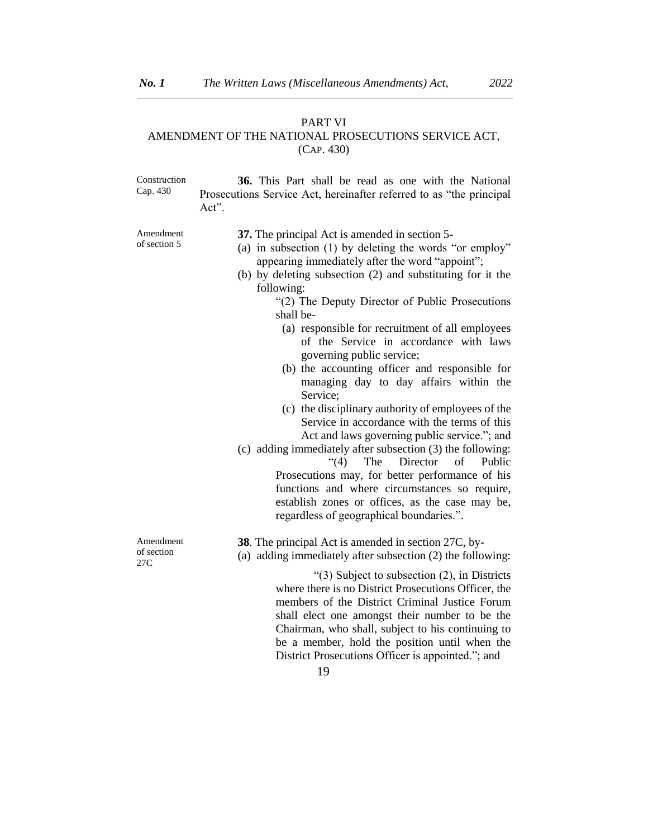#### PART VI

#### AMENDMENT OF THE NATIONAL PROSECUTIONS SERVICE ACT, (CAP. 430)

Construction Cap. 430 **36.** This Part shall be read as one with the National Prosecutions Service Act, hereinafter referred to as "the principal Act". Amendment of section 5 **37.** The principal Act is amended in section 5- (a) in subsection (1) by deleting the words "or employ" appearing immediately after the word "appoint"; (b) by deleting subsection (2) and substituting for it the following: "(2) The Deputy Director of Public Prosecutions shall be- (a) responsible for recruitment of all employees of the Service in accordance with laws governing public service; (b) the accounting officer and responsible for managing day to day affairs within the Service; (c) the disciplinary authority of employees of the Service in accordance with the terms of this Act and laws governing public service."; and (c) adding immediately after subsection (3) the following: "(4) The Director of Public Prosecutions may, for better performance of his functions and where circumstances so require, establish zones or offices, as the case may be, regardless of geographical boundaries.". Amendment of section 27C **38**. The principal Act is amended in section 27C, by- (a) adding immediately after subsection (2) the following: "(3) Subject to subsection (2), in Districts where there is no District Prosecutions Officer, the members of the District Criminal Justice Forum shall elect one amongst their number to be the

Chairman, who shall, subject to his continuing to be a member, hold the position until when the District Prosecutions Officer is appointed."; and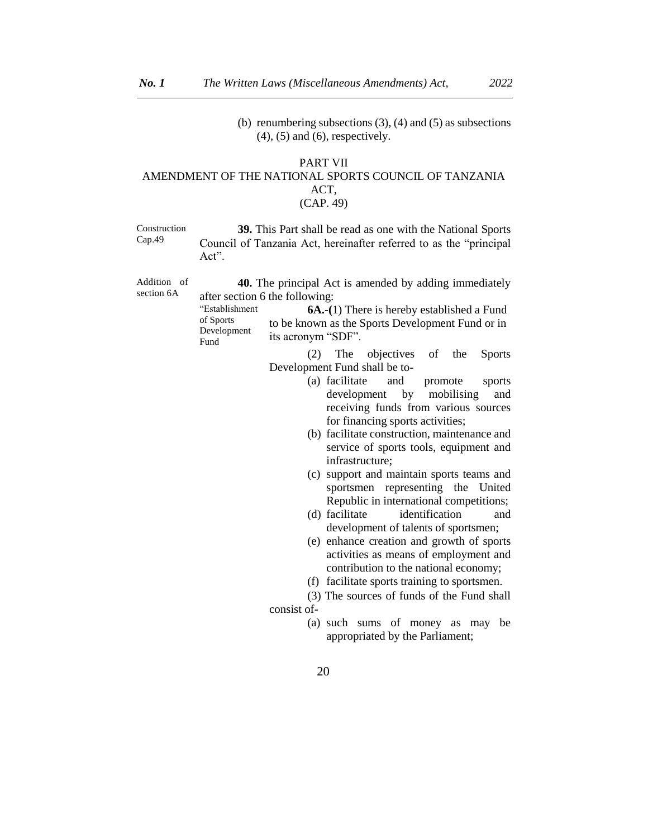(b) renumbering subsections  $(3)$ ,  $(4)$  and  $(5)$  as subsections  $(4)$ ,  $(5)$  and  $(6)$ , respectively.

## PART VII AMENDMENT OF THE NATIONAL SPORTS COUNCIL OF TANZANIA ACT, (CAP. 49)

Construction Cap.49

**39.** This Part shall be read as one with the National Sports Council of Tanzania Act, hereinafter referred to as the "principal Act".

Addition of section 6A

**40.** The principal Act is amended by adding immediately after section 6 the following:

"Establishment of Sports Development Fund **6A.-(**1) There is hereby established a Fund to be known as the Sports Development Fund or in its acronym "SDF".

> (2) The objectives of the Sports Development Fund shall be to-

- (a) facilitate and promote sports development by mobilising and receiving funds from various sources for financing sports activities;
- (b) facilitate construction, maintenance and service of sports tools, equipment and infrastructure;
- (c) support and maintain sports teams and sportsmen representing the United Republic in international competitions;
- (d) facilitate identification and development of talents of sportsmen;
- (e) enhance creation and growth of sports activities as means of employment and contribution to the national economy;
- (f) facilitate sports training to sportsmen.

(3) The sources of funds of the Fund shall consist of-

> (a) such sums of money as may be appropriated by the Parliament;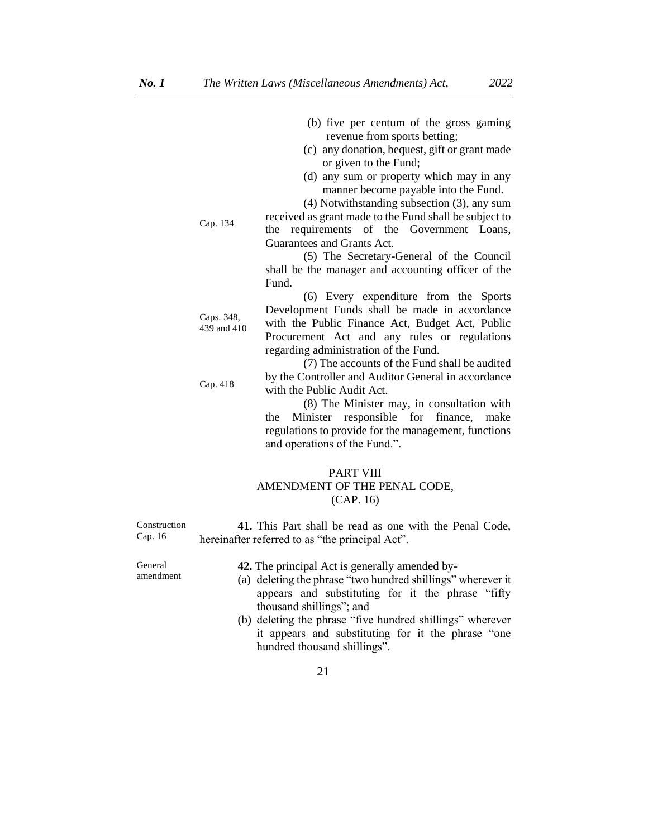- (b) five per centum of the gross gaming revenue from sports betting;
- (c) any donation, bequest, gift or grant made or given to the Fund;
- (d) any sum or property which may in any manner become payable into the Fund.

(4) Notwithstanding subsection (3), any sum

received as grant made to the Fund shall be subject to the requirements of the Government Loans, Guarantees and Grants Act.

(5) The Secretary-General of the Council shall be the manager and accounting officer of the Fund.

439 and 410 (6) Every expenditure from the Sports Development Funds shall be made in accordance with the Public Finance Act, Budget Act, Public Procurement Act and any rules or regulations regarding administration of the Fund.

> (7) The accounts of the Fund shall be audited by the Controller and Auditor General in accordance with the Public Audit Act.

(8) The Minister may, in consultation with the Minister responsible for finance, make regulations to provide for the management, functions and operations of the Fund.".

## PART VIII AMENDMENT OF THE PENAL CODE, (CAP. 16)

Construction Cap. 16 **41.** This Part shall be read as one with the Penal Code, hereinafter referred to as "the principal Act".

> **42.** The principal Act is generally amended by- (a) deleting the phrase "two hundred shillings" wherever it appears and substituting for it the phrase "fifty thousand shillings"; and

(b) deleting the phrase "five hundred shillings" wherever it appears and substituting for it the phrase "one hundred thousand shillings".

21

General

amendment

Caps. 348,

Cap. 418

Cap. 134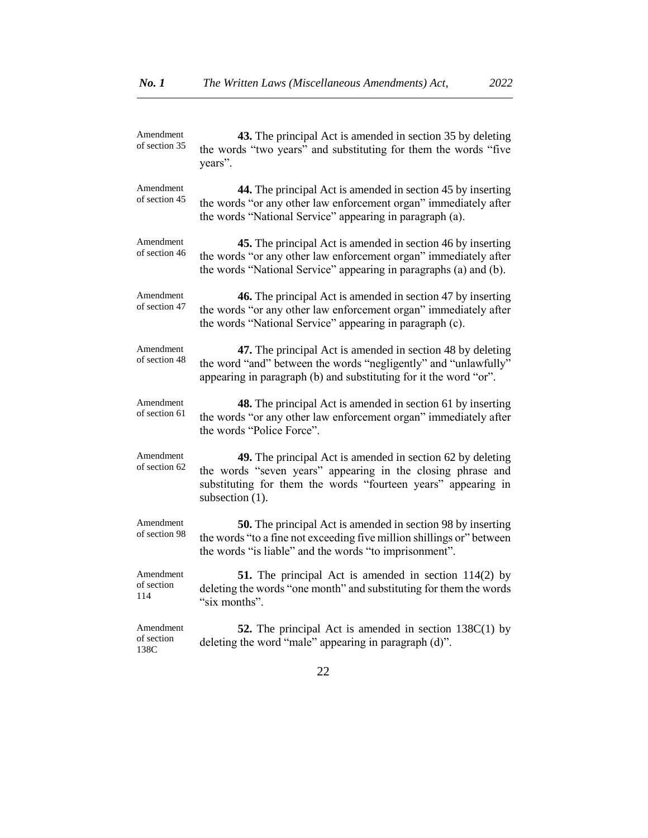| Amendment<br>of section 35      | 43. The principal Act is amended in section 35 by deleting<br>the words "two years" and substituting for them the words "five<br>years".                                                                      |
|---------------------------------|---------------------------------------------------------------------------------------------------------------------------------------------------------------------------------------------------------------|
| Amendment<br>of section 45      | 44. The principal Act is amended in section 45 by inserting<br>the words "or any other law enforcement organ" immediately after<br>the words "National Service" appearing in paragraph (a).                   |
| Amendment<br>of section 46      | 45. The principal Act is amended in section 46 by inserting<br>the words "or any other law enforcement organ" immediately after<br>the words "National Service" appearing in paragraphs (a) and (b).          |
| Amendment<br>of section 47      | 46. The principal Act is amended in section 47 by inserting<br>the words "or any other law enforcement organ" immediately after<br>the words "National Service" appearing in paragraph (c).                   |
| Amendment<br>of section 48      | 47. The principal Act is amended in section 48 by deleting<br>the word "and" between the words "negligently" and "unlawfully"<br>appearing in paragraph (b) and substituting for it the word "or".            |
| Amendment<br>of section 61      | <b>48.</b> The principal Act is amended in section 61 by inserting<br>the words "or any other law enforcement organ" immediately after<br>the words "Police Force".                                           |
| Amendment<br>of section 62      | 49. The principal Act is amended in section 62 by deleting<br>the words "seven years" appearing in the closing phrase and<br>substituting for them the words "fourteen years" appearing in<br>subsection (1). |
| Amendment<br>of section 98      | <b>50.</b> The principal Act is amended in section 98 by inserting<br>the words "to a fine not exceeding five million shillings or" between<br>the words "is liable" and the words "to imprisonment".         |
| Amendment<br>of section<br>114  | <b>51.</b> The principal Act is amended in section 114(2) by<br>deleting the words "one month" and substituting for them the words<br>"six months".                                                           |
| Amendment<br>of section<br>138C | <b>52.</b> The principal Act is amended in section $138C(1)$ by<br>deleting the word "male" appearing in paragraph (d)".                                                                                      |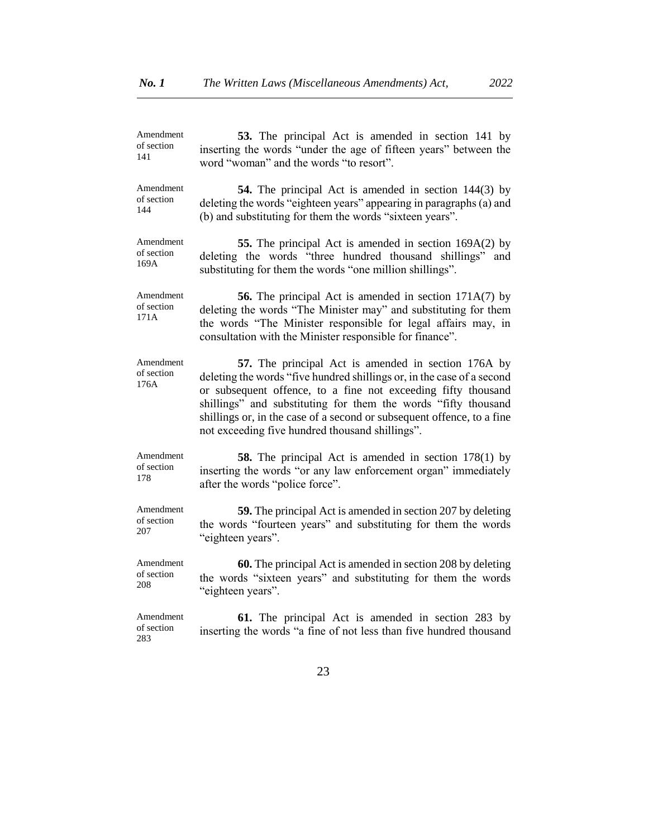| Amendment                       | 53. The principal Act is amended in section 141 by                                                                                                                                                                                                                                                                                                                                            |
|---------------------------------|-----------------------------------------------------------------------------------------------------------------------------------------------------------------------------------------------------------------------------------------------------------------------------------------------------------------------------------------------------------------------------------------------|
| of section                      | inserting the words "under the age of fifteen years" between the                                                                                                                                                                                                                                                                                                                              |
| 141                             | word "woman" and the words "to resort".                                                                                                                                                                                                                                                                                                                                                       |
| Amendment                       | <b>54.</b> The principal Act is amended in section 144(3) by                                                                                                                                                                                                                                                                                                                                  |
| of section                      | deleting the words "eighteen years" appearing in paragraphs (a) and                                                                                                                                                                                                                                                                                                                           |
| 144                             | (b) and substituting for them the words "sixteen years".                                                                                                                                                                                                                                                                                                                                      |
| Amendment                       | 55. The principal Act is amended in section 169A(2) by                                                                                                                                                                                                                                                                                                                                        |
| of section                      | deleting the words "three hundred thousand shillings" and                                                                                                                                                                                                                                                                                                                                     |
| 169A                            | substituting for them the words "one million shillings".                                                                                                                                                                                                                                                                                                                                      |
| Amendment<br>of section<br>171A | <b>56.</b> The principal Act is amended in section 171A(7) by<br>deleting the words "The Minister may" and substituting for them<br>the words "The Minister responsible for legal affairs may, in<br>consultation with the Minister responsible for finance".                                                                                                                                 |
| Amendment<br>of section<br>176A | 57. The principal Act is amended in section 176A by<br>deleting the words "five hundred shillings or, in the case of a second<br>or subsequent offence, to a fine not exceeding fifty thousand<br>shillings" and substituting for them the words "fifty thousand<br>shillings or, in the case of a second or subsequent offence, to a fine<br>not exceeding five hundred thousand shillings". |
| Amendment                       | <b>58.</b> The principal Act is amended in section 178(1) by                                                                                                                                                                                                                                                                                                                                  |
| of section                      | inserting the words "or any law enforcement organ" immediately                                                                                                                                                                                                                                                                                                                                |
| 178                             | after the words "police force".                                                                                                                                                                                                                                                                                                                                                               |
| Amendment                       | <b>59.</b> The principal Act is amended in section 207 by deleting                                                                                                                                                                                                                                                                                                                            |
| of section                      | the words "fourteen years" and substituting for them the words                                                                                                                                                                                                                                                                                                                                |
| 207                             | "eighteen years".                                                                                                                                                                                                                                                                                                                                                                             |
| Amendment                       | 60. The principal Act is amended in section 208 by deleting                                                                                                                                                                                                                                                                                                                                   |
| of section                      | the words "sixteen years" and substituting for them the words                                                                                                                                                                                                                                                                                                                                 |
| 208                             | "eighteen years".                                                                                                                                                                                                                                                                                                                                                                             |
| Amendment<br>of section<br>283  | <b>61.</b> The principal Act is amended in section 283 by<br>inserting the words "a fine of not less than five hundred thousand                                                                                                                                                                                                                                                               |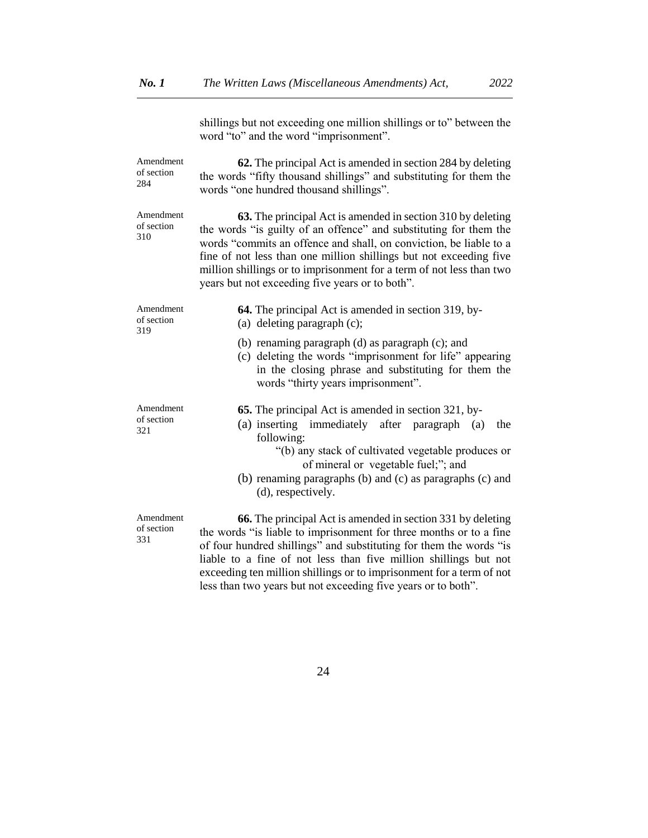shillings but not exceeding one million shillings or to" between the word "to" and the word "imprisonment". Amendment of section 284 **62.** The principal Act is amended in section 284 by deleting the words "fifty thousand shillings" and substituting for them the words "one hundred thousand shillings". Amendment of section 310 **63.** The principal Act is amended in section 310 by deleting the words "is guilty of an offence" and substituting for them the words "commits an offence and shall, on conviction, be liable to a fine of not less than one million shillings but not exceeding five million shillings or to imprisonment for a term of not less than two years but not exceeding five years or to both". Amendment of section 319 **64.** The principal Act is amended in section 319, by- (a) deleting paragraph (c); (b) renaming paragraph (d) as paragraph (c); and (c) deleting the words "imprisonment for life" appearing in the closing phrase and substituting for them the words "thirty years imprisonment". Amendment of section 321 **65.** The principal Act is amended in section 321, by- (a) inserting immediately after paragraph (a) the following: "(b) any stack of cultivated vegetable produces or of mineral or vegetable fuel;"; and (b) renaming paragraphs (b) and (c) as paragraphs (c) and (d), respectively. Amendment of section 331 **66.** The principal Act is amended in section 331 by deleting the words "is liable to imprisonment for three months or to a fine of four hundred shillings" and substituting for them the words "is liable to a fine of not less than five million shillings but not

24

exceeding ten million shillings or to imprisonment for a term of not

less than two years but not exceeding five years or to both".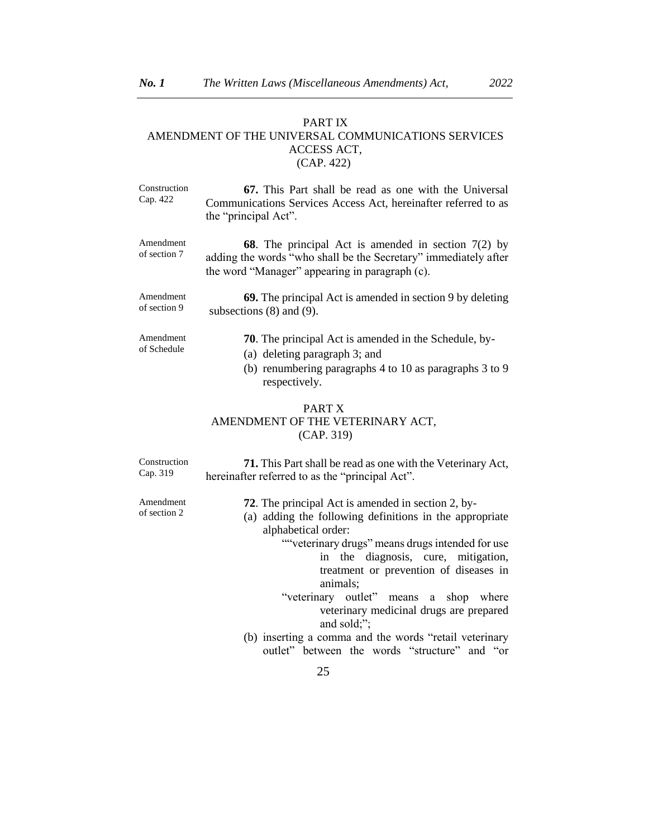## PART IX AMENDMENT OF THE UNIVERSAL COMMUNICATIONS SERVICES ACCESS ACT, (CAP. 422)

| Construction | 67. This Part shall be read as one with the Universal          |
|--------------|----------------------------------------------------------------|
| Cap. 422     | Communications Services Access Act, hereinafter referred to as |
|              | the "principal Act".                                           |

Amendment of section 7 **68**. The principal Act is amended in section 7(2) by adding the words "who shall be the Secretary" immediately after the word "Manager" appearing in paragraph (c).

Amendment of section 9 **69.** The principal Act is amended in section 9 by deleting subsections (8) and (9).

- Amendment of Schedule **70**. The principal Act is amended in the Schedule, by- (a) deleting paragraph 3; and
	- (b) renumbering paragraphs 4 to 10 as paragraphs 3 to 9 respectively.

## PART X AMENDMENT OF THE VETERINARY ACT, (CAP. 319)

Construction Cap. 319 **71.** This Part shall be read as one with the Veterinary Act, hereinafter referred to as the "principal Act".

Amendment of section 2

- **72**. The principal Act is amended in section 2, by-
- (a) adding the following definitions in the appropriate alphabetical order:
	- ""veterinary drugs" means drugs intended for use in the diagnosis, cure, mitigation, treatment or prevention of diseases in animals;
	- "veterinary outlet" means a shop where veterinary medicinal drugs are prepared and sold;";
- (b) inserting a comma and the words "retail veterinary outlet" between the words "structure" and "or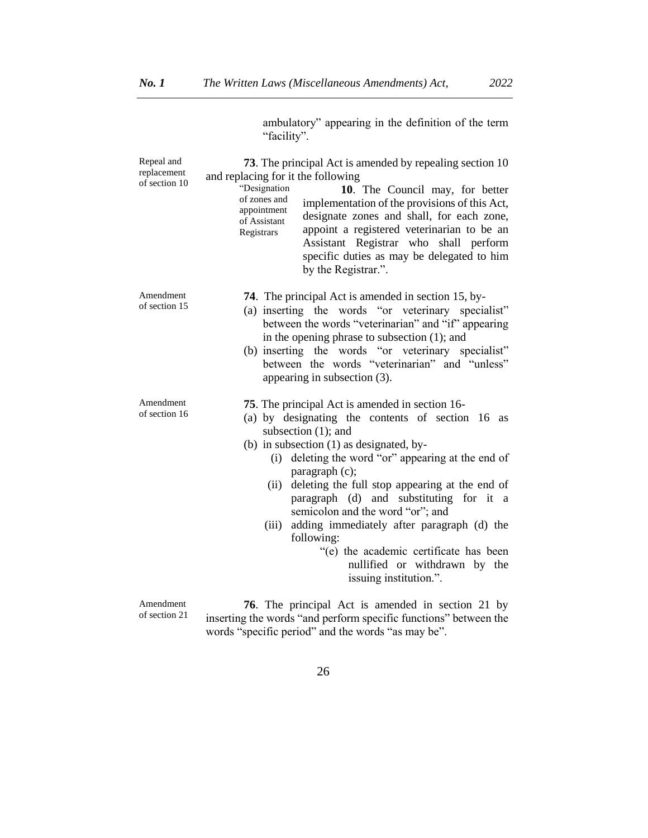ambulatory" appearing in the definition of the term "facility".

| Repeal and                   | 73. The principal Act is amended by repealing section 10                                                                                                                                                                                                                                                                                                                                                                                                                                                                                                            |
|------------------------------|---------------------------------------------------------------------------------------------------------------------------------------------------------------------------------------------------------------------------------------------------------------------------------------------------------------------------------------------------------------------------------------------------------------------------------------------------------------------------------------------------------------------------------------------------------------------|
| replacement<br>of section 10 | and replacing for it the following<br>"Designation<br>10. The Council may, for better<br>of zones and<br>implementation of the provisions of this Act,<br>appointment<br>designate zones and shall, for each zone,<br>of Assistant<br>appoint a registered veterinarian to be an<br>Registrars<br>Assistant Registrar who shall perform<br>specific duties as may be delegated to him<br>by the Registrar.".                                                                                                                                                        |
| Amendment<br>of section 15   | <b>74.</b> The principal Act is amended in section 15, by-<br>(a) inserting the words "or veterinary specialist"<br>between the words "veterinarian" and "if" appearing<br>in the opening phrase to subsection $(1)$ ; and<br>(b) inserting the words "or veterinary specialist"<br>between the words "veterinarian" and "unless"<br>appearing in subsection (3).                                                                                                                                                                                                   |
| Amendment<br>of section 16   | 75. The principal Act is amended in section 16-<br>(a) by designating the contents of section 16 as<br>subsection (1); and<br>(b) in subsection $(1)$ as designated, by-<br>(i) deleting the word "or" appearing at the end of<br>paragraph (c);<br>deleting the full stop appearing at the end of<br>(ii)<br>paragraph (d) and substituting for it a<br>semicolon and the word "or"; and<br>adding immediately after paragraph (d) the<br>(iii)<br>following:<br>"(e) the academic certificate has been<br>nullified or withdrawn by the<br>issuing institution.". |
| Amendment<br>of section 21   | <b>76.</b> The principal Act is amended in section 21 by<br>. A construit of the computer Grand in outpoint on real the three of the discovery on the c                                                                                                                                                                                                                                                                                                                                                                                                             |

of section 21

inserting the words "and perform specific functions" between the words "specific period" and the words "as may be".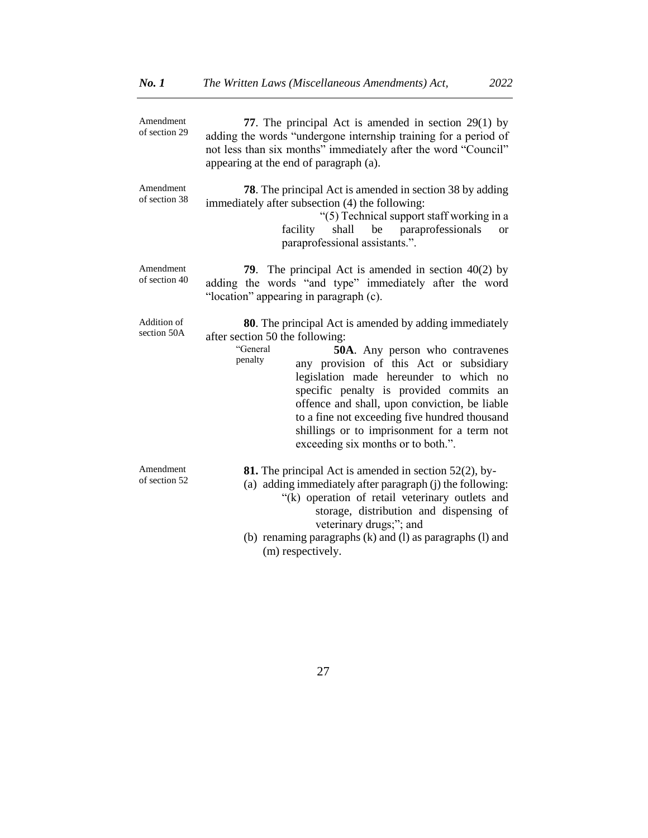| Amendment<br>of section 29 | 77. The principal Act is amended in section $29(1)$ by<br>adding the words "undergone internship training for a period of<br>not less than six months" immediately after the word "Council"<br>appearing at the end of paragraph (a).                                                                                                                                                                                                                                                     |
|----------------------------|-------------------------------------------------------------------------------------------------------------------------------------------------------------------------------------------------------------------------------------------------------------------------------------------------------------------------------------------------------------------------------------------------------------------------------------------------------------------------------------------|
| Amendment<br>of section 38 | <b>78</b> . The principal Act is amended in section 38 by adding<br>immediately after subsection (4) the following:<br>"(5) Technical support staff working in a<br>shall be paraprofessionals<br>facility<br><b>or</b><br>paraprofessional assistants.".                                                                                                                                                                                                                                 |
| Amendment<br>of section 40 | <b>79.</b> The principal Act is amended in section $40(2)$ by<br>adding the words "and type" immediately after the word<br>"location" appearing in paragraph (c).                                                                                                                                                                                                                                                                                                                         |
| Addition of<br>section 50A | <b>80</b> . The principal Act is amended by adding immediately<br>after section 50 the following:<br>"General<br><b>50A.</b> Any person who contravenes<br>penalty<br>any provision of this Act or subsidiary<br>legislation made hereunder to which no<br>specific penalty is provided commits an<br>offence and shall, upon conviction, be liable<br>to a fine not exceeding five hundred thousand<br>shillings or to imprisonment for a term not<br>exceeding six months or to both.". |
| Amendment<br>of section 52 | <b>81.</b> The principal Act is amended in section $52(2)$ , by-<br>(a) adding immediately after paragraph (j) the following:<br>"(k) operation of retail veterinary outlets and<br>storage, distribution and dispensing of<br>veterinary drugs;"; and<br>(b) renaming paragraphs (k) and (l) as paragraphs (l) and<br>(m) respectively.                                                                                                                                                  |